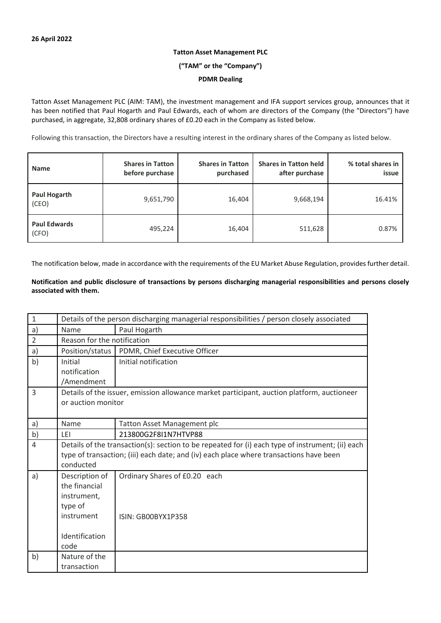# **Tatton Asset Management PLC**

**("TAM" or the "Company")**

### **PDMR Dealing**

Tatton Asset Management PLC (AIM: TAM), the investment management and IFA support services group, announces that it has been notified that Paul Hogarth and Paul Edwards, each of whom are directors of the Company (the "Directors") have purchased, in aggregate, 32,808 ordinary shares of £0.20 each in the Company as listed below.

Following this transaction, the Directors have a resulting interest in the ordinary shares of the Company as listed below.

| <b>Name</b>                  | <b>Shares in Tatton</b><br>before purchase | <b>Shares in Tatton</b><br>purchased | <b>Shares in Tatton held</b><br>after purchase | % total shares in<br>issue |
|------------------------------|--------------------------------------------|--------------------------------------|------------------------------------------------|----------------------------|
| <b>Paul Hogarth</b><br>(CEO) | 9,651,790                                  | 16,404                               | 9,668,194                                      | 16.41%                     |
| <b>Paul Edwards</b><br>(CFO) | 495,224                                    | 16,404                               | 511,628                                        | 0.87%                      |

The notification below, made in accordance with the requirements of the EU Market Abuse Regulation, provides further detail.

## **Notification and public disclosure of transactions by persons discharging managerial responsibilities and persons closely associated with them.**

| $\mathbf 1$    | Details of the person discharging managerial responsibilities / person closely associated        |                                                                                        |  |
|----------------|--------------------------------------------------------------------------------------------------|----------------------------------------------------------------------------------------|--|
| a)             | Name                                                                                             | Paul Hogarth                                                                           |  |
| $\overline{2}$ | Reason for the notification                                                                      |                                                                                        |  |
| a)             | Position/status                                                                                  | PDMR, Chief Executive Officer                                                          |  |
| b)             | Initial                                                                                          | Initial notification                                                                   |  |
|                | notification                                                                                     |                                                                                        |  |
|                | /Amendment                                                                                       |                                                                                        |  |
| 3              | Details of the issuer, emission allowance market participant, auction platform, auctioneer       |                                                                                        |  |
|                | or auction monitor                                                                               |                                                                                        |  |
|                |                                                                                                  |                                                                                        |  |
| a)             | Name                                                                                             | <b>Tatton Asset Management plc</b>                                                     |  |
| b)             | <b>LEI</b>                                                                                       | 213800G2F8I1N7HTVP88                                                                   |  |
| 4              | Details of the transaction(s): section to be repeated for (i) each type of instrument; (ii) each |                                                                                        |  |
|                |                                                                                                  | type of transaction; (iii) each date; and (iv) each place where transactions have been |  |
|                | conducted                                                                                        |                                                                                        |  |
| a)             | Description of                                                                                   | Ordinary Shares of £0.20 each                                                          |  |
|                | the financial                                                                                    |                                                                                        |  |
|                | instrument,                                                                                      |                                                                                        |  |
|                | type of                                                                                          |                                                                                        |  |
|                | instrument                                                                                       | ISIN: GB00BYX1P358                                                                     |  |
|                |                                                                                                  |                                                                                        |  |
|                | Identification                                                                                   |                                                                                        |  |
|                | code                                                                                             |                                                                                        |  |
| b)             | Nature of the                                                                                    |                                                                                        |  |
|                | transaction                                                                                      |                                                                                        |  |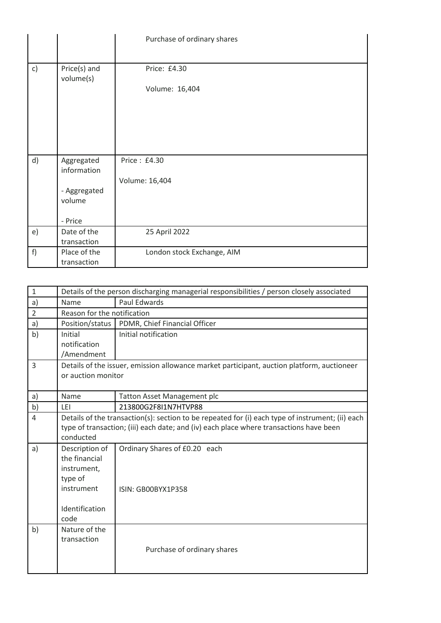|    |                           | Purchase of ordinary shares |
|----|---------------------------|-----------------------------|
|    |                           |                             |
| c) | Price(s) and<br>volume(s) | Price: £4.30                |
|    |                           | Volume: 16,404              |
|    |                           |                             |
|    |                           |                             |
|    |                           |                             |
|    |                           |                             |
| d) | Aggregated<br>information | Price: £4.30                |
|    |                           | Volume: 16,404              |
|    | - Aggregated              |                             |
|    | volume                    |                             |
|    |                           |                             |
|    | - Price                   |                             |
| e) | Date of the               | 25 April 2022               |
|    | transaction               |                             |
| f) | Place of the              | London stock Exchange, AIM  |
|    | transaction               |                             |

| $\mathbf{1}$   | Details of the person discharging managerial responsibilities / person closely associated                                                                                                               |                                                     |  |
|----------------|---------------------------------------------------------------------------------------------------------------------------------------------------------------------------------------------------------|-----------------------------------------------------|--|
| a)             | Name                                                                                                                                                                                                    | Paul Edwards                                        |  |
| $\overline{2}$ | Reason for the notification                                                                                                                                                                             |                                                     |  |
| a)             | Position/status                                                                                                                                                                                         | PDMR, Chief Financial Officer                       |  |
| b)             | Initial                                                                                                                                                                                                 | Initial notification                                |  |
|                | notification<br>/Amendment                                                                                                                                                                              |                                                     |  |
| 3              | Details of the issuer, emission allowance market participant, auction platform, auctioneer<br>or auction monitor                                                                                        |                                                     |  |
| a)             | Name                                                                                                                                                                                                    | <b>Tatton Asset Management plc</b>                  |  |
| b)             | LEI                                                                                                                                                                                                     | 213800G2F8I1N7HTVP88                                |  |
| 4              | Details of the transaction(s): section to be repeated for (i) each type of instrument; (ii) each<br>type of transaction; (iii) each date; and (iv) each place where transactions have been<br>conducted |                                                     |  |
| a)             | Description of<br>the financial<br>instrument,<br>type of<br>instrument<br>Identification<br>code                                                                                                       | Ordinary Shares of £0.20 each<br>ISIN: GB00BYX1P358 |  |
| b)             | Nature of the<br>transaction                                                                                                                                                                            | Purchase of ordinary shares                         |  |